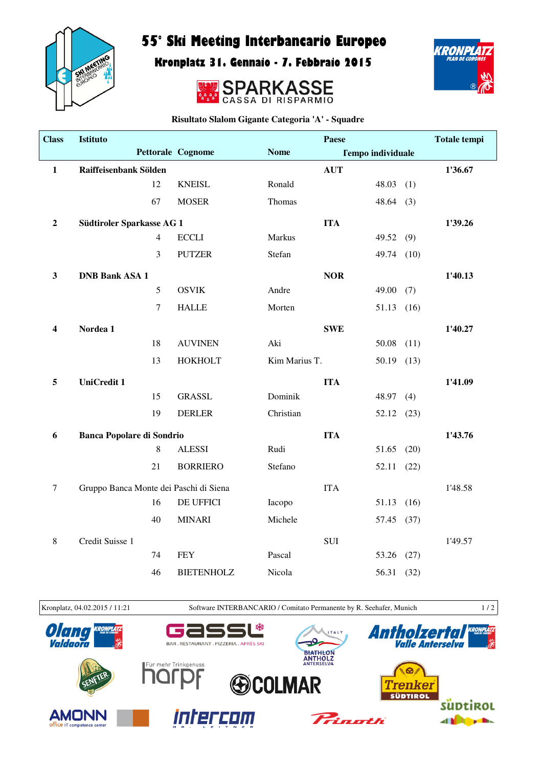

## 55° Ski Meeting Interbancario Europeo

Kronplatz 31. Gennaio - 7. Febbraio 2015





**Risultato Slalom Gigante Categoria 'A' - Squadre**

| <b>Class</b>            | Istituto                               |                |                   |               | Paese                    |           |      | <b>Totale tempi</b> |
|-------------------------|----------------------------------------|----------------|-------------------|---------------|--------------------------|-----------|------|---------------------|
|                         |                                        |                | Pettorale Cognome | <b>Nome</b>   | <b>Tempo individuale</b> |           |      |                     |
| $\mathbf{1}$            | Raiffeisenbank Sölden                  |                |                   |               | <b>AUT</b>               |           |      | 1'36.67             |
|                         |                                        | 12             | <b>KNEISL</b>     | Ronald        |                          | 48.03     | (1)  |                     |
|                         |                                        | 67             | <b>MOSER</b>      | Thomas        |                          | 48.64     | (3)  |                     |
| $\boldsymbol{2}$        | Südtiroler Sparkasse AG 1              |                |                   |               | <b>ITA</b>               |           |      | 1'39.26             |
|                         |                                        | $\overline{4}$ | <b>ECCLI</b>      | Markus        |                          | 49.52     | (9)  |                     |
|                         |                                        | 3              | <b>PUTZER</b>     | Stefan        |                          | 49.74     | (10) |                     |
| $\mathbf{3}$            | <b>DNB Bank ASA 1</b>                  |                |                   |               | <b>NOR</b>               |           |      | 1'40.13             |
|                         |                                        | 5              | <b>OSVIK</b>      | Andre         |                          | 49.00     | (7)  |                     |
|                         |                                        | $\tau$         | <b>HALLE</b>      | Morten        |                          | 51.13     | (16) |                     |
| $\overline{\mathbf{4}}$ | Nordea 1                               |                |                   |               | <b>SWE</b>               |           |      | 1'40.27             |
|                         |                                        | 18             | <b>AUVINEN</b>    | Aki           |                          | 50.08     | (11) |                     |
|                         |                                        | 13             | HOKHOLT           | Kim Marius T. |                          | 50.19     | (13) |                     |
| 5                       | <b>UniCredit 1</b>                     |                |                   |               | <b>ITA</b>               |           |      | 1'41.09             |
|                         |                                        | 15             | <b>GRASSL</b>     | Dominik       |                          | 48.97     | (4)  |                     |
|                         |                                        | 19             | <b>DERLER</b>     | Christian     |                          | 52.12(23) |      |                     |
| 6                       | <b>Banca Popolare di Sondrio</b>       |                |                   |               | <b>ITA</b>               |           |      | 1'43.76             |
|                         |                                        | $8\,$          | <b>ALESSI</b>     | Rudi          |                          | 51.65     | (20) |                     |
|                         |                                        | 21             | <b>BORRIERO</b>   | Stefano       |                          | 52.11     | (22) |                     |
| $\tau$                  | Gruppo Banca Monte dei Paschi di Siena |                |                   |               | <b>ITA</b>               |           |      | 1'48.58             |
|                         |                                        | 16             | DE UFFICI         | Iacopo        |                          | 51.13     | (16) |                     |
|                         |                                        | 40             | <b>MINARI</b>     | Michele       |                          | 57.45     | (37) |                     |
| $\,8\,$                 | Credit Suisse 1                        |                |                   |               | SUI                      |           |      | 1'49.57             |
|                         |                                        | 74             | <b>FEY</b>        | Pascal        |                          | 53.26     | (27) |                     |
|                         |                                        | 46             | <b>BIETENHOLZ</b> | Nicola        |                          | 56.31     | (32) |                     |